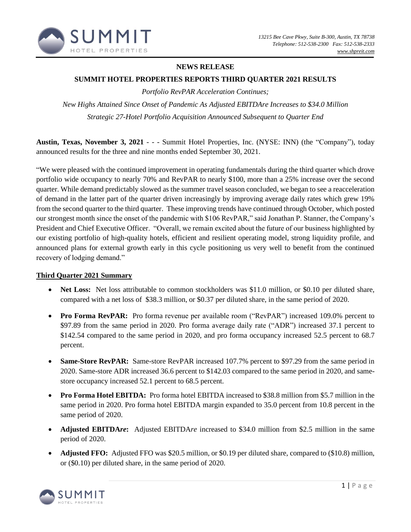

# **NEWS RELEASE**

## **SUMMIT HOTEL PROPERTIES REPORTS THIRD QUARTER 2021 RESULTS**

*Portfolio RevPAR Acceleration Continues;* 

*New Highs Attained Since Onset of Pandemic As Adjusted EBITDAre Increases to \$34.0 Million Strategic 27-Hotel Portfolio Acquisition Announced Subsequent to Quarter End*

**Austin, Texas, November 3, 2021** - - - Summit Hotel Properties, Inc. (NYSE: INN) (the "Company"), today announced results for the three and nine months ended September 30, 2021.

"We were pleased with the continued improvement in operating fundamentals during the third quarter which drove portfolio wide occupancy to nearly 70% and RevPAR to nearly \$100, more than a 25% increase over the second quarter. While demand predictably slowed as the summer travel season concluded, we began to see a reacceleration of demand in the latter part of the quarter driven increasingly by improving average daily rates which grew 19% from the second quarter to the third quarter. These improving trends have continued through October, which posted our strongest month since the onset of the pandemic with \$106 RevPAR," said Jonathan P. Stanner, the Company's President and Chief Executive Officer. "Overall, we remain excited about the future of our business highlighted by our existing portfolio of high-quality hotels, efficient and resilient operating model, strong liquidity profile, and announced plans for external growth early in this cycle positioning us very well to benefit from the continued recovery of lodging demand."

## **Third Quarter 2021 Summary**

- **Net Loss:** Net loss attributable to common stockholders was \$11.0 million, or \$0.10 per diluted share, compared with a net loss of \$38.3 million, or \$0.37 per diluted share, in the same period of 2020.
- **Pro Forma RevPAR:** Pro forma revenue per available room ("RevPAR") increased 109.0% percent to \$97.89 from the same period in 2020. Pro forma average daily rate ("ADR") increased 37.1 percent to \$142.54 compared to the same period in 2020, and pro forma occupancy increased 52.5 percent to 68.7 percent.
- **Same-Store RevPAR:** Same-store RevPAR increased 107.7% percent to \$97.29 from the same period in 2020. Same-store ADR increased 36.6 percent to \$142.03 compared to the same period in 2020, and samestore occupancy increased 52.1 percent to 68.5 percent.
- **Pro Forma Hotel EBITDA:** Pro forma hotel EBITDA increased to \$38.8 million from \$5.7 million in the same period in 2020. Pro forma hotel EBITDA margin expanded to 35.0 percent from 10.8 percent in the same period of 2020.
- **Adjusted EBITDA***re***:** Adjusted EBITDA*re* increased to \$34.0 million from \$2.5 million in the same period of 2020.
- **Adjusted FFO:** Adjusted FFO was \$20.5 million, or \$0.19 per diluted share, compared to (\$10.8) million, or (\$0.10) per diluted share, in the same period of 2020.

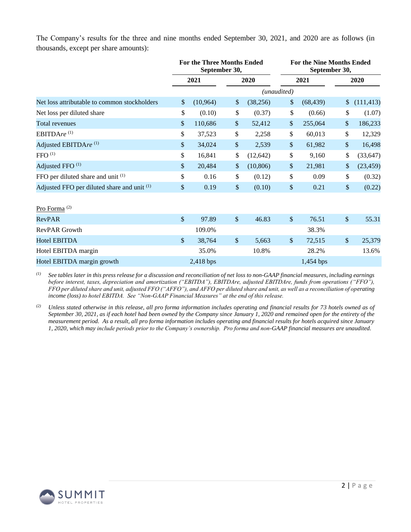The Company's results for the three and nine months ended September 30, 2021, and 2020 are as follows (in thousands, except per share amounts):

|                                              |              | For the Three Months Ended<br>September 30, |                 | <b>For the Nine Months Ended</b><br>September 30, |           |         |            |  |
|----------------------------------------------|--------------|---------------------------------------------|-----------------|---------------------------------------------------|-----------|---------|------------|--|
|                                              |              | 2021                                        | 2020            |                                                   | 2021      |         | 2020       |  |
|                                              |              |                                             |                 | (unaudited)                                       |           |         |            |  |
| Net loss attributable to common stockholders | \$           | (10, 964)                                   | \$<br>(38, 256) | \$                                                | (68, 439) | \$      | (111, 413) |  |
| Net loss per diluted share                   | \$           | (0.10)                                      | \$<br>(0.37)    | \$                                                | (0.66)    | \$      | (1.07)     |  |
| Total revenues                               | \$           | 110,686                                     | \$<br>52,412    | \$                                                | 255,064   | \$      | 186,233    |  |
| EBITDAre <sup>(1)</sup>                      | \$           | 37,523                                      | \$<br>2,258     | \$                                                | 60,013    | \$      | 12,329     |  |
| Adjusted EBITDAre <sup>(1)</sup>             | \$           | 34,024                                      | \$<br>2,539     | \$                                                | 61,982    | \$      | 16,498     |  |
| $FFO$ <sup>(1)</sup>                         | \$           | 16,841                                      | \$<br>(12, 642) | \$                                                | 9,160     | \$      | (33, 647)  |  |
| Adjusted FFO <sup>(1)</sup>                  | \$           | 20,484                                      | \$<br>(10, 806) | \$                                                | 21,981    | \$      | (23, 459)  |  |
| FFO per diluted share and unit (1)           | \$           | 0.16                                        | \$<br>(0.12)    | \$                                                | 0.09      | \$      | (0.32)     |  |
| Adjusted FFO per diluted share and unit (1)  | \$           | 0.19                                        | \$<br>(0.10)    | \$                                                | 0.21      | \$      | (0.22)     |  |
| Pro Forma <sup>(2)</sup>                     |              |                                             |                 |                                                   |           |         |            |  |
| <b>RevPAR</b>                                | $\mathbb{S}$ | 97.89                                       | \$<br>46.83     | $\sqrt{\ }$                                       | 76.51     | $\$\,$  | 55.31      |  |
| RevPAR Growth                                |              | 109.0%                                      |                 |                                                   | 38.3%     |         |            |  |
| Hotel EBITDA                                 | \$           | 38,764                                      | \$<br>5,663     | $\frac{1}{2}$                                     | 72,515    | $\sqrt$ | 25,379     |  |
| Hotel EBITDA margin                          |              | 35.0%                                       | 10.8%           |                                                   | 28.2%     |         | 13.6%      |  |
| Hotel EBITDA margin growth                   |              | 2,418 bps                                   |                 |                                                   | 1,454 bps |         |            |  |

*(1) See tables later in this press release for a discussion and reconciliation of net loss to non-GAAP financial measures, including earnings before interest, taxes, depreciation and amortization ("EBITDA"), EBITDAre, adjusted EBITDAre, funds from operations ("FFO"), FFO per diluted share and unit, adjusted FFO ("AFFO"), and AFFO per diluted share and unit, as well as a reconciliation of operating income (loss) to hotel EBITDA. See "Non-GAAP Financial Measures" at the end of this release.*

*(2) Unless stated otherwise in this release, all pro forma information includes operating and financial results for 73 hotels owned as of September 30, 2021, as if each hotel had been owned by the Company since January 1, 2020 and remained open for the entirety of the measurement period. As a result, all pro forma information includes operating and financial results for hotels acquired since January 1, 2020, which may include periods prior to the Company's ownership. Pro forma and non-GAAP financial measures are unaudited.*

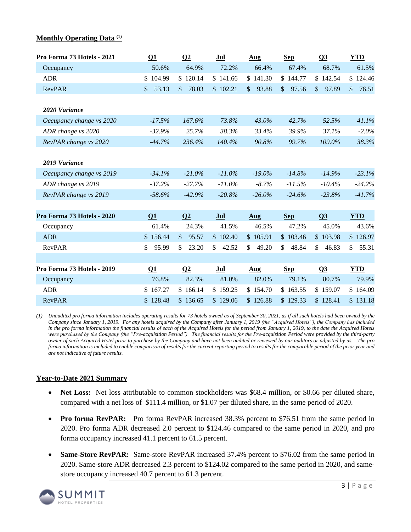#### **Monthly Operating Data (1)**

| Pro Forma 73 Hotels - 2021 | $\overline{\mathbf{Q}}$ | $\Omega$              | Jul         | $\mathbf{Aug}$          | <b>Sep</b>            | $\Omega$ <sup>3</sup> | <b>YTD</b>   |
|----------------------------|-------------------------|-----------------------|-------------|-------------------------|-----------------------|-----------------------|--------------|
| Occupancy                  | 50.6%                   | 64.9%                 | 72.2%       | 66.4%                   | 67.4%                 | 68.7%                 | 61.5%        |
| <b>ADR</b>                 | \$104.99                | \$120.14              | \$141.66    | \$141.30                | \$144.77              | \$142.54              | \$<br>124.46 |
| <b>RevPAR</b>              | 53.13<br>$\mathbb{S}$   | 78.03<br>\$           | \$102.21    | 93.88<br>$\mathbb{S}$   | 97.56<br>$\mathbb{S}$ | 97.89<br>\$           | \$<br>76.51  |
|                            |                         |                       |             |                         |                       |                       |              |
| 2020 Variance              |                         |                       |             |                         |                       |                       |              |
| Occupancy change vs 2020   | $-17.5%$                | 167.6%                | 73.8%       | 43.0%                   | 42.7%                 | 52.5%                 | 41.1%        |
| ADR change vs 2020         | $-32.9%$                | 25.7%                 | 38.3%       | 33.4%                   | 39.9%                 | 37.1%                 | $-2.0%$      |
| RevPAR change vs 2020      | $-44.7%$                | 236.4%                | 140.4%      | 90.8%                   | 99.7%                 | 109.0%                | 38.3%        |
|                            |                         |                       |             |                         |                       |                       |              |
| 2019 Variance              |                         |                       |             |                         |                       |                       |              |
| Occupancy change vs 2019   | $-34.1%$                | $-21.0\%$             | $-11.0\%$   | $-19.0\%$               | $-14.8%$              | $-14.9%$              | $-23.1%$     |
| ADR change vs 2019         | $-37.2%$                | $-27.7%$              | $-11.0\%$   | $-8.7%$                 | $-11.5%$              | $-10.4%$              | $-24.2%$     |
| RevPAR change vs 2019      | $-58.6\%$               | $-42.9%$              | $-20.8%$    | $-26.0\%$               | $-24.6%$              | $-23.8%$              | $-41.7%$     |
|                            |                         |                       |             |                         |                       |                       |              |
| Pro Forma 73 Hotels - 2020 | Q1                      | Q <sub>2</sub>        | Jul         | $\mathbf{Aug}$          | <b>Sep</b>            | $Q_3$                 | <b>YTD</b>   |
| Occupancy                  | 61.4%                   | 24.3%                 | 41.5%       | 46.5%                   | 47.2%                 | 45.0%                 | 43.6%        |
| <b>ADR</b>                 | \$156.44                | $\mathbb{S}$<br>95.57 | \$102.40    | \$105.91                | \$103.46              | \$103.98              | \$126.97     |
| RevPAR                     | \$<br>95.99             | \$<br>23.20           | 42.52<br>\$ | 49.20<br>\$             | 48.84<br>\$           | \$<br>46.83           | 55.31<br>\$  |
|                            |                         |                       |             |                         |                       |                       |              |
| Pro Forma 73 Hotels - 2019 | $\Omega$ 1              | $\Omega$              | Jul         | $\overline{\text{Aug}}$ | <b>Sep</b>            | $\Omega$ <sup>3</sup> | <b>YTD</b>   |
| Occupancy                  | 76.8%                   | 82.3%                 | 81.0%       | 82.0%                   | 79.1%                 | 80.7%                 | 79.9%        |
| <b>ADR</b>                 | \$167.27                | \$166.14              | \$159.25    | \$154.70                | \$163.55              | \$159.07              | \$164.09     |
| <b>RevPAR</b>              | \$128.48                | \$136.65              | \$129.06    | \$126.88                | \$129.33              | \$128.41              | \$131.18     |

*(1) Unaudited pro forma information includes operating results for 73 hotels owned as of September 30, 2021, as if all such hotels had been owned by the Company since January 1, 2019. For any hotels acquired by the Company after January 1, 2019 (the "Acquired Hotels"), the Company has included in the pro forma information the financial results of each of the Acquired Hotels for the period from January 1, 2019, to the date the Acquired Hotels were purchased by the Company (the "Pre-acquisition Period"). The financial results for the Pre-acquisition Period were provided by the third-party owner of such Acquired Hotel prior to purchase by the Company and have not been audited or reviewed by our auditors or adjusted by us. The pro forma information is included to enable comparison of results for the current reporting period to results for the comparable period of the prior year and are not indicative of future results.*

#### **Year-to-Date 2021 Summary**

- **Net Loss:** Net loss attributable to common stockholders was \$68.4 million, or \$0.66 per diluted share, compared with a net loss of \$111.4 million, or \$1.07 per diluted share, in the same period of 2020.
- **Pro forma RevPAR:** Pro forma RevPAR increased 38.3% percent to \$76.51 from the same period in 2020. Pro forma ADR decreased 2.0 percent to \$124.46 compared to the same period in 2020, and pro forma occupancy increased 41.1 percent to 61.5 percent.
- **Same-Store RevPAR:** Same-store RevPAR increased 37.4% percent to \$76.02 from the same period in 2020. Same-store ADR decreased 2.3 percent to \$124.02 compared to the same period in 2020, and samestore occupancy increased 40.7 percent to 61.3 percent.

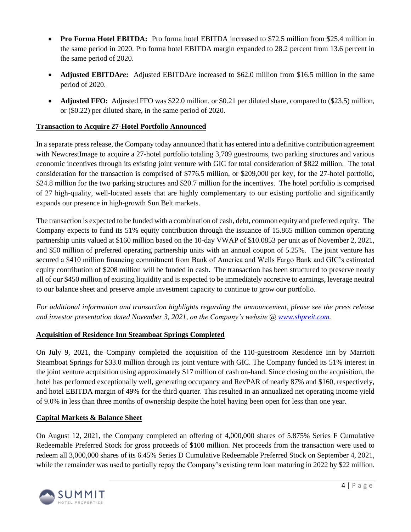- **Pro Forma Hotel EBITDA:** Pro forma hotel EBITDA increased to \$72.5 million from \$25.4 million in the same period in 2020. Pro forma hotel EBITDA margin expanded to 28.2 percent from 13.6 percent in the same period of 2020.
- **Adjusted EBITDA***re***:** Adjusted EBITDA*re* increased to \$62.0 million from \$16.5 million in the same period of 2020.
- **Adjusted FFO:** Adjusted FFO was \$22.0 million, or \$0.21 per diluted share, compared to (\$23.5) million, or (\$0.22) per diluted share, in the same period of 2020.

# **Transaction to Acquire 27-Hotel Portfolio Announced**

In a separate press release, the Company today announced that it has entered into a definitive contribution agreement with NewcrestImage to acquire a 27-hotel portfolio totaling 3,709 guestrooms, two parking structures and various economic incentives through its existing joint venture with GIC for total consideration of \$822 million. The total consideration for the transaction is comprised of \$776.5 million, or \$209,000 per key, for the 27-hotel portfolio, \$24.8 million for the two parking structures and \$20.7 million for the incentives. The hotel portfolio is comprised of 27 high-quality, well-located assets that are highly complementary to our existing portfolio and significantly expands our presence in high-growth Sun Belt markets.

The transaction is expected to be funded with a combination of cash, debt, common equity and preferred equity. The Company expects to fund its 51% equity contribution through the issuance of 15.865 million common operating partnership units valued at \$160 million based on the 10-day VWAP of \$10.0853 per unit as of November 2, 2021, and \$50 million of preferred operating partnership units with an annual coupon of 5.25%. The joint venture has secured a \$410 million financing commitment from Bank of America and Wells Fargo Bank and GIC's estimated equity contribution of \$208 million will be funded in cash. The transaction has been structured to preserve nearly all of our \$450 million of existing liquidity and is expected to be immediately accretive to earnings, leverage neutral to our balance sheet and preserve ample investment capacity to continue to grow our portfolio.

*For additional information and transaction highlights regarding the announcement, please see the press release and investor presentation dated November 3, 2021, on the Company's website @ [www.shpreit.com.](http://www.shpreit.com/)* 

# **Acquisition of Residence Inn Steamboat Springs Completed**

On July 9, 2021, the Company completed the acquisition of the 110-guestroom Residence Inn by Marriott Steamboat Springs for \$33.0 million through its joint venture with GIC. The Company funded its 51% interest in the joint venture acquisition using approximately \$17 million of cash on-hand. Since closing on the acquisition, the hotel has performed exceptionally well, generating occupancy and RevPAR of nearly 87% and \$160, respectively, and hotel EBITDA margin of 49% for the third quarter. This resulted in an annualized net operating income yield of 9.0% in less than three months of ownership despite the hotel having been open for less than one year.

## **Capital Markets & Balance Sheet**

On August 12, 2021, the Company completed an offering of 4,000,000 shares of 5.875% Series F Cumulative Redeemable Preferred Stock for gross proceeds of \$100 million. Net proceeds from the transaction were used to redeem all 3,000,000 shares of its 6.45% Series D Cumulative Redeemable Preferred Stock on September 4, 2021, while the remainder was used to partially repay the Company's existing term loan maturing in 2022 by \$22 million.

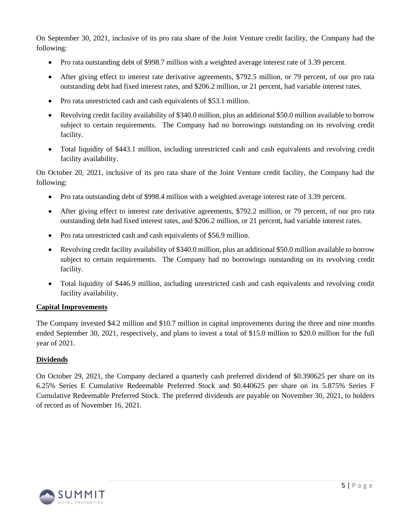On September 30, 2021, inclusive of its pro rata share of the Joint Venture credit facility, the Company had the following:

- Pro rata outstanding debt of \$998.7 million with a weighted average interest rate of 3.39 percent.
- After giving effect to interest rate derivative agreements, \$792.5 million, or 79 percent, of our pro rata outstanding debt had fixed interest rates, and \$206.2 million, or 21 percent, had variable interest rates.
- Pro rata unrestricted cash and cash equivalents of \$53.1 million.
- Revolving credit facility availability of \$340.0 million, plus an additional \$50.0 million available to borrow subject to certain requirements. The Company had no borrowings outstanding on its revolving credit facility.
- Total liquidity of \$443.1 million, including unrestricted cash and cash equivalents and revolving credit facility availability.

On October 20, 2021, inclusive of its pro rata share of the Joint Venture credit facility, the Company had the following:

- Pro rata outstanding debt of \$998.4 million with a weighted average interest rate of 3.39 percent.
- After giving effect to interest rate derivative agreements, \$792.2 million, or 79 percent, of our pro rata outstanding debt had fixed interest rates, and \$206.2 million, or 21 percent, had variable interest rates.
- Pro rata unrestricted cash and cash equivalents of \$56.9 million.
- Revolving credit facility availability of \$340.0 million, plus an additional \$50.0 million available to borrow subject to certain requirements. The Company had no borrowings outstanding on its revolving credit facility.
- Total liquidity of \$446.9 million, including unrestricted cash and cash equivalents and revolving credit facility availability.

## **Capital Improvements**

The Company invested \$4.2 million and \$10.7 million in capital improvements during the three and nine months ended September 30, 2021, respectively, and plans to invest a total of \$15.0 million to \$20.0 million for the full year of 2021.

#### **Dividends**

On October 29, 2021, the Company declared a quarterly cash preferred dividend of \$0.390625 per share on its 6.25% Series E Cumulative Redeemable Preferred Stock and \$0.440625 per share on its 5.875% Series F Cumulative Redeemable Preferred Stock. The preferred dividends are payable on November 30, 2021, to holders of record as of November 16, 2021.

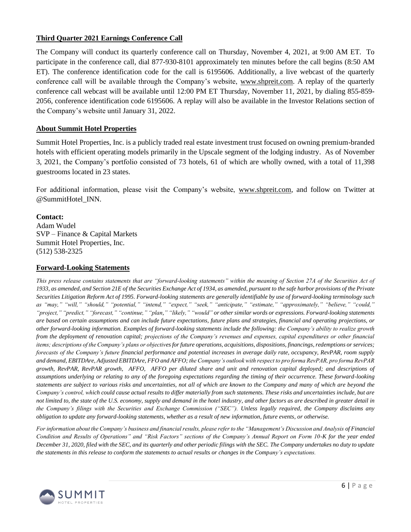### **Third Quarter 2021 Earnings Conference Call**

The Company will conduct its quarterly conference call on Thursday, November 4, 2021, at 9:00 AM ET. To participate in the conference call, dial 877-930-8101 approximately ten minutes before the call begins (8:50 AM ET). The conference identification code for the call is 6195606. Additionally, a live webcast of the quarterly conference call will be available through the Company's website, [www.shpreit.com.](http://www.shpreit.com/) A replay of the quarterly conference call webcast will be available until 12:00 PM ET Thursday, November 11, 2021, by dialing 855-859- 2056, conference identification code 6195606. A replay will also be available in the Investor Relations section of the Company's website until January 31, 2022.

#### **About Summit Hotel Properties**

Summit Hotel Properties, Inc. is a publicly traded real estate investment trust focused on owning premium-branded hotels with efficient operating models primarily in the Upscale segment of the lodging industry. As of November 3, 2021, the Company's portfolio consisted of 73 hotels, 61 of which are wholly owned, with a total of 11,398 guestrooms located in 23 states.

For additional information, please visit the Company's website, [www.shpreit.com,](http://www.shpreit.com/) and follow on Twitter at @SummitHotel\_INN.

#### **Contact:**

Adam Wudel SVP – Finance & Capital Markets Summit Hotel Properties, Inc. (512) 538-2325

#### **Forward-Looking Statements**

*This press release contains statements that are "forward-looking statements" within the meaning of Section 27A of the Securities Act of 1933, as amended, and Section 21E of the Securities Exchange Act of 1934, as amended, pursuant to the safe harbor provisions of the Private Securities Litigation Reform Act of 1995. Forward-looking statements are generally identifiable by use of forward-looking terminology such as "may," "will," "should," "potential," "intend," "expect," "seek," "anticipate," "estimate," "approximately," "believe," "could," "project," "predict," "forecast," "continue," "plan," "likely," "would" or other similar words or expressions. Forward-looking statements are based on certain assumptions and can include future expectations, future plans and strategies, financial and operating projections, or other forward-looking information. Examples of forward-looking statements include the following: the Company's ability to realize growth from the deployment of renovation capital; projections of the Company's revenues and expenses, capital expenditures or other financial items; descriptions of the Company's plans or objectives for future operations, acquisitions, dispositions, financings, redemptions or services; forecasts of the Company's future financial performance and potential increases in average daily rate, occupancy, RevPAR, room supply and demand, EBITDAre, Adjusted EBITDAre, FFO and AFFO; the Company's outlook with respect to pro forma RevPAR, pro forma RevPAR growth, RevPAR, RevPAR growth, AFFO, AFFO per diluted share and unit and renovation capital deployed; and descriptions of assumptions underlying or relating to any of the foregoing expectations regarding the timing of their occurrence. These forward-looking statements are subject to various risks and uncertainties, not all of which are known to the Company and many of which are beyond the Company's control, which could cause actual results to differ materially from such statements. These risks and uncertainties include, but are not limited to, the state of the U.S. economy, supply and demand in the hotel industry, and other factors as are described in greater detail in the Company's filings with the Securities and Exchange Commission ("SEC"). Unless legally required, the Company disclaims any obligation to update any forward-looking statements, whether as a result of new information, future events, or otherwise.*

For information about the Company's business and financial results, please refer to the "Management's Discussion and Analysis of Financial *Condition and Results of Operations" and "Risk Factors" sections of the Company's Annual Report on Form 10-K for the year ended December 31, 2020, filed with the SEC, and its quarterly and other periodic filings with the SEC. The Company undertakes no duty to update the statements in this release to conform the statements to actual results or changes in the Company's expectations.*

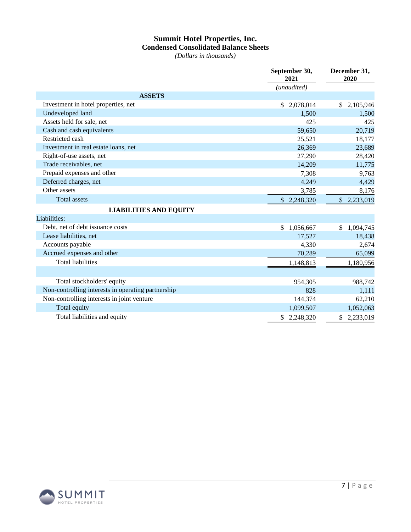# **Summit Hotel Properties, Inc. Condensed Consolidated Balance Sheets**

*(Dollars in thousands)*

|                                                    | September 30,<br>2021     | December 31,<br>2020       |
|----------------------------------------------------|---------------------------|----------------------------|
|                                                    | (unaudited)               |                            |
| <b>ASSETS</b>                                      |                           |                            |
| Investment in hotel properties, net                | 2,078,014<br>\$           | $\mathbb{S}$<br>2,105,946  |
| Undeveloped land                                   | 1,500                     | 1,500                      |
| Assets held for sale, net                          | 425                       | 425                        |
| Cash and cash equivalents                          | 59,650                    | 20,719                     |
| Restricted cash                                    | 25,521                    | 18,177                     |
| Investment in real estate loans, net               | 26,369                    | 23,689                     |
| Right-of-use assets, net                           | 27,290                    | 28,420                     |
| Trade receivables, net                             | 14,209                    | 11,775                     |
| Prepaid expenses and other                         | 7,308                     | 9,763                      |
| Deferred charges, net                              | 4,249                     | 4,429                      |
| Other assets                                       | 3,785                     | 8,176                      |
| <b>Total assets</b>                                | 2,248,320<br>\$           | 2,233,019<br>$\mathcal{S}$ |
| <b>LIABILITIES AND EQUITY</b>                      |                           |                            |
| Liabilities:                                       |                           |                            |
| Debt, net of debt issuance costs                   | 1,056,667<br>$\mathbb{S}$ | 1,094,745<br>\$            |
| Lease liabilities, net                             | 17,527                    | 18,438                     |
| Accounts payable                                   | 4,330                     | 2,674                      |
| Accrued expenses and other                         | 70,289                    | 65,099                     |
| <b>Total liabilities</b>                           | 1,148,813                 | 1,180,956                  |
|                                                    |                           |                            |
| Total stockholders' equity                         | 954,305                   | 988,742                    |
| Non-controlling interests in operating partnership | 828                       | 1,111                      |
| Non-controlling interests in joint venture         | 144,374                   | 62,210                     |
| Total equity                                       | 1,099,507                 | 1,052,063                  |
| Total liabilities and equity                       | \$<br>2,248,320           | \$<br>2,233,019            |

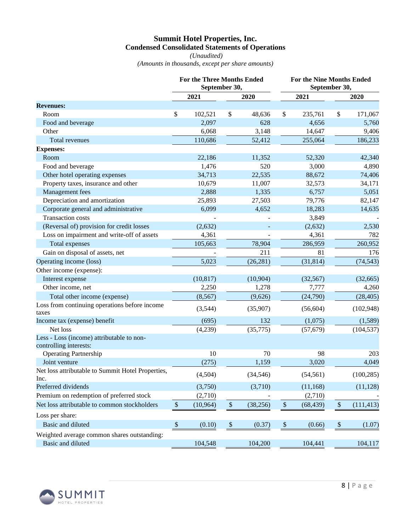# **Summit Hotel Properties, Inc. Condensed Consolidated Statements of Operations**

*(Unaudited) (Amounts in thousands, except per share amounts)*

|                                                           |              | <b>For the Three Months Ended</b><br>September 30, |              |           | <b>For the Nine Months Ended</b><br>September 30, |           |              |            |  |
|-----------------------------------------------------------|--------------|----------------------------------------------------|--------------|-----------|---------------------------------------------------|-----------|--------------|------------|--|
|                                                           |              | 2021                                               |              | 2020      |                                                   | 2021      |              | 2020       |  |
| <b>Revenues:</b>                                          |              |                                                    |              |           |                                                   |           |              |            |  |
| Room                                                      | \$           | 102,521                                            | \$           | 48,636    | \$                                                | 235,761   | \$           | 171,067    |  |
| Food and beverage                                         |              | 2,097                                              |              | 628       |                                                   | 4,656     |              | 5,760      |  |
| Other                                                     |              | 6,068                                              |              | 3,148     |                                                   | 14,647    |              | 9,406      |  |
| Total revenues                                            |              | 110,686                                            |              | 52,412    |                                                   | 255,064   |              | 186,233    |  |
| <b>Expenses:</b>                                          |              |                                                    |              |           |                                                   |           |              |            |  |
| Room                                                      |              | 22,186                                             |              | 11,352    |                                                   | 52,320    |              | 42,340     |  |
| Food and beverage                                         |              | 1,476                                              |              | 520       |                                                   | 3,000     |              | 4,890      |  |
| Other hotel operating expenses                            |              | 34,713                                             |              | 22,535    |                                                   | 88,672    |              | 74,406     |  |
| Property taxes, insurance and other                       |              | 10,679                                             |              | 11,007    |                                                   | 32,573    |              | 34,171     |  |
| Management fees                                           |              | 2,888                                              |              | 1,335     |                                                   | 6,757     |              | 5,051      |  |
| Depreciation and amortization                             |              | 25,893                                             |              | 27,503    |                                                   | 79,776    |              | 82,147     |  |
| Corporate general and administrative                      |              | 6,099                                              |              | 4,652     |                                                   | 18,283    |              | 14,635     |  |
| <b>Transaction costs</b>                                  |              |                                                    |              |           |                                                   | 3,849     |              |            |  |
| (Reversal of) provision for credit losses                 |              | (2,632)                                            |              |           |                                                   | (2,632)   |              | 2,530      |  |
| Loss on impairment and write-off of assets                |              | 4,361                                              |              |           |                                                   | 4,361     |              | 782        |  |
| Total expenses                                            |              | 105,663                                            |              | 78,904    |                                                   | 286,959   |              | 260,952    |  |
| Gain on disposal of assets, net                           |              |                                                    |              | 211       |                                                   | 81        |              | 176        |  |
| Operating income (loss)                                   |              | 5,023                                              |              | (26, 281) |                                                   | (31, 814) |              | (74, 543)  |  |
| Other income (expense):                                   |              |                                                    |              |           |                                                   |           |              |            |  |
| Interest expense                                          |              | (10, 817)                                          |              | (10, 904) |                                                   | (32, 567) |              | (32, 665)  |  |
| Other income, net                                         |              | 2,250                                              |              | 1,278     |                                                   | 7,777     |              | 4,260      |  |
| Total other income (expense)                              |              | (8, 567)                                           |              | (9,626)   |                                                   | (24,790)  |              | (28, 405)  |  |
| Loss from continuing operations before income             |              |                                                    |              |           |                                                   |           |              |            |  |
| taxes                                                     |              | (3,544)                                            |              | (35,907)  |                                                   | (56, 604) |              | (102, 948) |  |
| Income tax (expense) benefit                              |              | (695)                                              |              | 132       |                                                   | (1,075)   |              | (1,589)    |  |
| Net loss                                                  |              | (4,239)                                            |              | (35, 775) |                                                   | (57, 679) |              | (104, 537) |  |
| Less - Loss (income) attributable to non-                 |              |                                                    |              |           |                                                   |           |              |            |  |
| controlling interests:                                    |              |                                                    |              |           |                                                   |           |              |            |  |
| <b>Operating Partnership</b>                              |              | 10                                                 |              | 70        |                                                   | 98        |              | 203        |  |
| Joint venture                                             |              | (275)                                              |              | 1,159     |                                                   | 3,020     |              | 4,049      |  |
| Net loss attributable to Summit Hotel Properties,<br>Inc. |              | (4,504)                                            |              | (34, 546) |                                                   | (54, 561) |              | (100, 285) |  |
| Preferred dividends                                       |              | (3,750)                                            |              | (3,710)   |                                                   | (11, 168) |              | (11, 128)  |  |
| Premium on redemption of preferred stock                  |              | (2,710)                                            |              |           |                                                   | (2,710)   |              |            |  |
| Net loss attributable to common stockholders              | $\mathbb{S}$ | (10, 964)                                          | $\mathbb{S}$ | (38, 256) | $\boldsymbol{\$}$                                 | (68, 439) | $\mathbb{S}$ | (111, 413) |  |
| Loss per share:                                           |              |                                                    |              |           |                                                   |           |              |            |  |
| Basic and diluted                                         | $\mathbb{S}$ | (0.10)                                             | $\$$         | (0.37)    | $\,$                                              | (0.66)    | $\$\,$       | (1.07)     |  |
| Weighted average common shares outstanding:               |              |                                                    |              |           |                                                   |           |              |            |  |
| <b>Basic and diluted</b>                                  |              | 104,548                                            |              | 104,200   |                                                   | 104,441   |              | 104,117    |  |

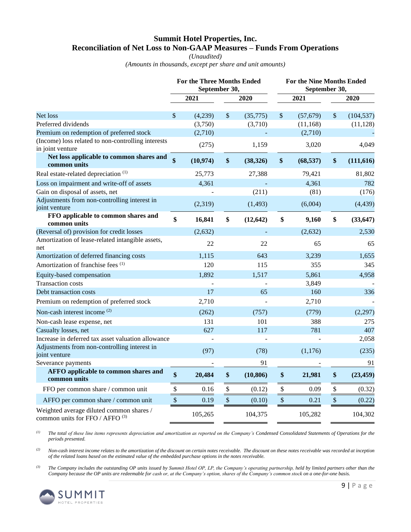# **Summit Hotel Properties, Inc. Reconciliation of Net Loss to Non-GAAP Measures – Funds From Operations**

#### *(Unaudited)*

*(Amounts in thousands, except per share and unit amounts)*

|                                                                             |                           | <b>For the Three Months Ended</b><br>September 30, |         |           | For the Nine Months Ended<br>September 30, |           |                           |            |  |  |
|-----------------------------------------------------------------------------|---------------------------|----------------------------------------------------|---------|-----------|--------------------------------------------|-----------|---------------------------|------------|--|--|
|                                                                             |                           | 2021                                               |         | 2020      |                                            | 2021      |                           | 2020       |  |  |
| Net loss                                                                    | \$                        | (4,239)                                            | \$      | (35,775)  | $\boldsymbol{\mathsf{S}}$                  | (57, 679) | $\mathbb{S}$              | (104, 537) |  |  |
| Preferred dividends                                                         |                           | (3,750)                                            |         | (3,710)   |                                            | (11, 168) |                           | (11, 128)  |  |  |
| Premium on redemption of preferred stock                                    |                           | (2,710)                                            |         |           |                                            | (2,710)   |                           |            |  |  |
| (Income) loss related to non-controlling interests<br>in joint venture      |                           | (275)                                              |         | 1,159     |                                            | 3,020     |                           | 4,049      |  |  |
| Net loss applicable to common shares and<br>common units                    | $\mathbf{\$}$             | (10, 974)                                          | \$      | (38, 326) | \$                                         | (68, 537) | $\boldsymbol{\$}$         | (111, 616) |  |  |
| Real estate-related depreciation <sup>(1)</sup>                             |                           | 25,773                                             |         | 27,388    |                                            | 79,421    |                           | 81,802     |  |  |
| Loss on impairment and write-off of assets                                  |                           | 4,361                                              |         |           |                                            | 4,361     |                           | 782        |  |  |
| Gain on disposal of assets, net                                             |                           |                                                    |         | (211)     |                                            | (81)      |                           | (176)      |  |  |
| Adjustments from non-controlling interest in<br>joint venture               |                           | (2,319)                                            |         | (1, 493)  |                                            | (6,004)   |                           | (4, 439)   |  |  |
| FFO applicable to common shares and<br>common units                         | \$                        | 16,841                                             | \$      | (12, 642) | \$                                         | 9,160     | \$                        | (33, 647)  |  |  |
| (Reversal of) provision for credit losses                                   |                           | (2,632)                                            |         |           |                                            | (2,632)   |                           | 2,530      |  |  |
| Amortization of lease-related intangible assets,<br>net                     |                           | 22                                                 |         | 22        |                                            | 65        |                           | 65         |  |  |
| Amortization of deferred financing costs                                    |                           | 1,115                                              |         | 643       |                                            | 3,239     |                           | 1,655      |  |  |
| Amortization of franchise fees <sup>(1)</sup>                               |                           | 120                                                |         | 115       |                                            | 355       |                           | 345        |  |  |
| Equity-based compensation                                                   |                           | 1,892                                              |         | 1,517     |                                            | 5,861     |                           | 4,958      |  |  |
| <b>Transaction costs</b>                                                    |                           |                                                    |         |           |                                            | 3,849     |                           |            |  |  |
| Debt transaction costs                                                      |                           | 17                                                 |         | 65        |                                            | 160       |                           | 336        |  |  |
| Premium on redemption of preferred stock                                    |                           | 2,710                                              |         |           |                                            | 2,710     |                           |            |  |  |
| Non-cash interest income <sup>(2)</sup>                                     |                           | (262)                                              |         | (757)     |                                            | (779)     |                           | (2,297)    |  |  |
| Non-cash lease expense, net                                                 |                           | 131                                                |         | 101       |                                            | 388       |                           | 275        |  |  |
| Casualty losses, net                                                        |                           | 627                                                |         | 117       |                                            | 781       |                           | 407        |  |  |
| Increase in deferred tax asset valuation allowance                          |                           |                                                    |         |           |                                            |           |                           | 2,058      |  |  |
| Adjustments from non-controlling interest in                                |                           | (97)                                               |         | (78)      |                                            | (1,176)   |                           | (235)      |  |  |
| joint venture                                                               |                           |                                                    |         | 91        |                                            |           |                           | 91         |  |  |
| Severance payments<br><b>AFFO</b> applicable to common shares and           |                           |                                                    |         |           |                                            |           |                           |            |  |  |
| common units                                                                | \$                        | 20,484                                             | \$      | (10, 806) | $\boldsymbol{\$}$                          | 21,981    | \$                        | (23, 459)  |  |  |
| FFO per common share / common unit                                          | \$                        | 0.16                                               | $\$$    | (0.12)    | \$                                         | 0.09      | $\boldsymbol{\mathsf{S}}$ | (0.32)     |  |  |
| AFFO per common share / common unit                                         | $\boldsymbol{\mathsf{S}}$ | 0.19                                               | $\sqrt$ | (0.10)    | $\$\,$                                     | 0.21      | $\sqrt$                   | (0.22)     |  |  |
| Weighted average diluted common shares /<br>common units for FFO / AFFO (3) |                           | 105,265                                            |         | 104,375   |                                            | 105,282   |                           | 104,302    |  |  |

*(1) The total of these line items represents depreciation and amortization as reported on the Company's Condensed Consolidated Statements of Operations for the periods presented.*

*(2) Non-cash interest income relates to the amortization of the discount on certain notes receivable. The discount on these notes receivable was recorded at inception of the related loans based on the estimated value of the embedded purchase options in the notes receivable.*

*(3) The Company includes the outstanding OP units issued by Summit Hotel OP, LP, the Company's operating partnership, held by limited partners other than the Company because the OP units are redeemable for cash or, at the Company's option, shares of the Company's common stock on a one-for-one basis.*

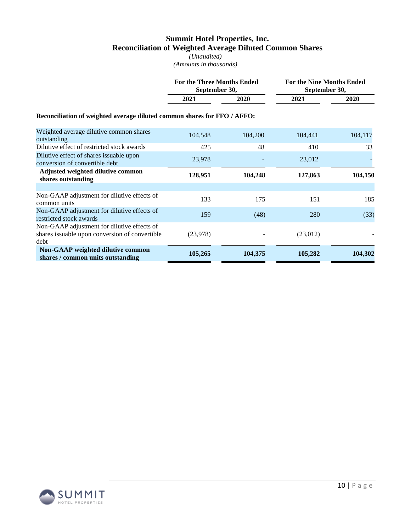## **Summit Hotel Properties, Inc. Reconciliation of Weighted Average Diluted Common Shares**

*(Unaudited) (Amounts in thousands)*

|                                                                                                       | For the Three Months Ended | September 30, |          | <b>For the Nine Months Ended</b><br>September 30, |  |  |  |  |  |  |  |  |  |
|-------------------------------------------------------------------------------------------------------|----------------------------|---------------|----------|---------------------------------------------------|--|--|--|--|--|--|--|--|--|
|                                                                                                       | 2021                       | 2020          | 2021     | 2020                                              |  |  |  |  |  |  |  |  |  |
| Reconciliation of weighted average diluted common shares for FFO / AFFO:                              |                            |               |          |                                                   |  |  |  |  |  |  |  |  |  |
| Weighted average dilutive common shares<br>outstanding                                                | 104,548                    | 104,200       | 104,441  | 104,117                                           |  |  |  |  |  |  |  |  |  |
| Dilutive effect of restricted stock awards                                                            | 425                        | 48            | 410      | 33                                                |  |  |  |  |  |  |  |  |  |
| Dilutive effect of shares issuable upon<br>conversion of convertible debt                             | 23,978                     |               | 23,012   |                                                   |  |  |  |  |  |  |  |  |  |
| Adjusted weighted dilutive common<br>shares outstanding                                               | 128,951                    | 104,248       | 127,863  | 104,150                                           |  |  |  |  |  |  |  |  |  |
|                                                                                                       |                            |               |          |                                                   |  |  |  |  |  |  |  |  |  |
| Non-GAAP adjustment for dilutive effects of<br>common units                                           | 133                        | 175           | 151      | 185                                               |  |  |  |  |  |  |  |  |  |
| Non-GAAP adjustment for dilutive effects of<br>restricted stock awards                                | 159                        | (48)          | 280      | (33)                                              |  |  |  |  |  |  |  |  |  |
| Non-GAAP adjustment for dilutive effects of<br>shares issuable upon conversion of convertible<br>debt | (23,978)                   |               | (23,012) |                                                   |  |  |  |  |  |  |  |  |  |
| Non-GAAP weighted dilutive common<br>shares / common units outstanding                                | 105,265                    | 104,375       | 105,282  | 104,302                                           |  |  |  |  |  |  |  |  |  |

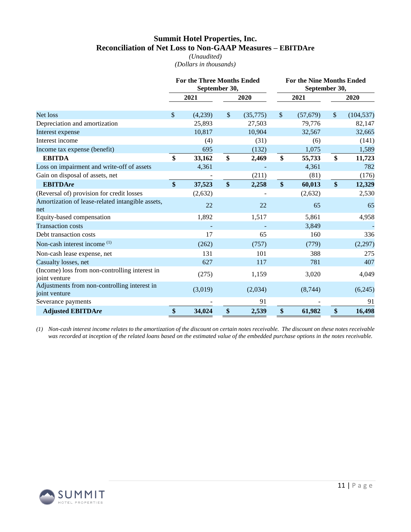# **Summit Hotel Properties, Inc. Reconciliation of Net Loss to Non-GAAP Measures – EBITDAre**

*(Unaudited) (Dollars in thousands)*

|                                                                 |    | <b>For the Three Months Ended</b><br>September 30, |                           |          | <b>For the Nine Months Ended</b><br>September 30, |           |         |            |  |
|-----------------------------------------------------------------|----|----------------------------------------------------|---------------------------|----------|---------------------------------------------------|-----------|---------|------------|--|
|                                                                 |    | 2021                                               |                           | 2020     |                                                   | 2021      |         | 2020       |  |
| Net loss                                                        |    | (4,239)                                            | $\boldsymbol{\mathsf{S}}$ | (35,775) | $\boldsymbol{\mathsf{S}}$                         | (57, 679) | $\sqrt$ | (104, 537) |  |
| Depreciation and amortization                                   |    | 25,893                                             |                           | 27,503   |                                                   | 79,776    |         | 82,147     |  |
| Interest expense                                                |    | 10,817                                             |                           | 10,904   |                                                   | 32,567    |         | 32,665     |  |
| Interest income                                                 |    | (4)                                                |                           | (31)     |                                                   | (6)       |         | (141)      |  |
| Income tax expense (benefit)                                    |    | 695                                                |                           | (132)    |                                                   | 1,075     |         | 1,589      |  |
| <b>EBITDA</b>                                                   | \$ | 33,162                                             | \$                        | 2,469    | \$                                                | 55,733    | \$      | 11,723     |  |
| Loss on impairment and write-off of assets                      |    | 4,361                                              |                           |          |                                                   | 4,361     |         | 782        |  |
| Gain on disposal of assets, net                                 |    |                                                    |                           | (211)    |                                                   | (81)      |         | (176)      |  |
| <b>EBITDAre</b>                                                 | \$ | 37,523                                             | \$                        | 2,258    | \$                                                | 60,013    | \$      | 12,329     |  |
| (Reversal of) provision for credit losses                       |    | (2,632)                                            |                           |          |                                                   | (2,632)   |         | 2,530      |  |
| Amortization of lease-related intangible assets,                |    | 22                                                 |                           | 22       |                                                   | 65        |         | 65         |  |
| net                                                             |    |                                                    |                           |          |                                                   |           |         |            |  |
| Equity-based compensation                                       |    | 1,892                                              |                           | 1,517    |                                                   | 5,861     |         | 4,958      |  |
| <b>Transaction costs</b>                                        |    |                                                    |                           |          |                                                   | 3,849     |         |            |  |
| Debt transaction costs                                          |    | 17                                                 |                           | 65       |                                                   | 160       |         | 336        |  |
| Non-cash interest income (1)                                    |    | (262)                                              |                           | (757)    |                                                   | (779)     |         | (2,297)    |  |
| Non-cash lease expense, net                                     |    | 131                                                |                           | 101      |                                                   | 388       |         | 275        |  |
| Casualty losses, net                                            |    | 627                                                |                           | 117      |                                                   | 781       |         | 407        |  |
| (Income) loss from non-controlling interest in<br>joint venture |    | (275)                                              |                           | 1,159    |                                                   | 3,020     |         | 4,049      |  |
| Adjustments from non-controlling interest in<br>joint venture   |    | (3,019)                                            |                           | (2,034)  |                                                   | (8, 744)  |         | (6,245)    |  |
| Severance payments                                              |    |                                                    |                           | 91       |                                                   |           |         | 91         |  |
| <b>Adjusted EBITDAre</b>                                        | \$ | 34,024                                             | \$                        | 2,539    | \$                                                | 61,982    | \$      | 16,498     |  |

*(1) Non-cash interest income relates to the amortization of the discount on certain notes receivable. The discount on these notes receivable*  was recorded at inception of the related loans based on the estimated value of the embedded purchase options in the notes receivable.

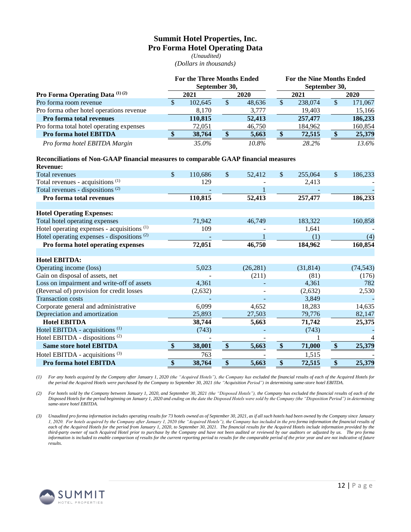# **Summit Hotel Properties, Inc. Pro Forma Hotel Operating Data**

*(Unaudited) (Dollars in thousands)*

|                                                   |  | For the Three Months Ended<br>September 30, |    |        | <b>For the Nine Months Ended</b><br>September 30, |         |      |         |  |  |
|---------------------------------------------------|--|---------------------------------------------|----|--------|---------------------------------------------------|---------|------|---------|--|--|
| <b>Pro Forma Operating Data</b> $^{(1)}$ $^{(2)}$ |  | 2021                                        |    | 2020   |                                                   | 2021    | 2020 |         |  |  |
| Pro forma room revenue                            |  | 102.645                                     | \$ | 48,636 |                                                   | 238,074 | S    | 171,067 |  |  |
| Pro forma other hotel operations revenue          |  | 8,170                                       |    | 3,777  |                                                   | 19,403  |      | 15,166  |  |  |
| Pro forma total revenues                          |  | 110.815                                     |    | 52,413 |                                                   | 257,477 |      | 186,233 |  |  |
| Pro forma total hotel operating expenses          |  | 72,051                                      |    | 46,750 |                                                   | 184,962 |      | 160,854 |  |  |
| Pro forma hotel EBITDA                            |  | 38,764                                      |    | 5,663  |                                                   | 72,515  |      | 25,379  |  |  |
| Pro forma hotel EBITDA Margin                     |  | 35.0%                                       |    | 10.8%  |                                                   | 28.2%   |      | 13.6%   |  |  |

#### **Reconciliations of Non-GAAP financial measures to comparable GAAP financial measures**

| <b>Revenue:</b>                                        |                   |         |                         |           |               |           |                   |           |
|--------------------------------------------------------|-------------------|---------|-------------------------|-----------|---------------|-----------|-------------------|-----------|
| <b>Total revenues</b>                                  | \$                | 110,686 | $\sqrt{\ }$             | 52,412    | $\frac{1}{2}$ | 255,064   | \$                | 186,233   |
| Total revenues - acquisitions <sup>(1)</sup>           |                   | 129     |                         |           |               | 2,413     |                   |           |
| Total revenues - dispositions $(2)$                    |                   |         |                         |           |               |           |                   |           |
| Pro forma total revenues                               |                   | 110,815 |                         | 52,413    |               | 257,477   |                   | 186,233   |
| <b>Hotel Operating Expenses:</b>                       |                   |         |                         |           |               |           |                   |           |
| Total hotel operating expenses                         |                   | 71,942  |                         | 46,749    |               | 183,322   |                   | 160,858   |
| Hotel operating expenses - acquisitions <sup>(1)</sup> |                   | 109     |                         |           |               | 1,641     |                   |           |
| Hotel operating expenses - dispositions $(2)$          |                   |         |                         |           |               | (1)       |                   | (4)       |
| Pro forma hotel operating expenses                     |                   | 72,051  |                         | 46,750    |               | 184,962   |                   | 160,854   |
|                                                        |                   |         |                         |           |               |           |                   |           |
| <b>Hotel EBITDA:</b>                                   |                   |         |                         |           |               |           |                   |           |
| Operating income (loss)                                |                   | 5,023   |                         | (26, 281) |               | (31, 814) |                   | (74, 543) |
| Gain on disposal of assets, net                        |                   |         |                         | (211)     |               | (81)      |                   | (176)     |
| Loss on impairment and write-off of assets             |                   | 4,361   |                         |           |               | 4,361     |                   | 782       |
| (Reversal of) provision for credit losses              |                   | (2,632) |                         |           |               | (2,632)   |                   | 2,530     |
| <b>Transaction costs</b>                               |                   |         |                         |           |               | 3,849     |                   |           |
| Corporate general and administrative                   |                   | 6,099   |                         | 4,652     |               | 18,283    |                   | 14,635    |
| Depreciation and amortization                          |                   | 25,893  |                         | 27,503    |               | 79,776    |                   | 82,147    |
| <b>Hotel EBITDA</b>                                    |                   | 38,744  |                         | 5,663     |               | 71,742    |                   | 25,375    |
| Hotel EBITDA - acquisitions <sup>(1)</sup>             |                   | (743)   |                         |           |               | (743)     |                   |           |
| Hotel EBITDA - dispositions <sup>(2)</sup>             |                   |         |                         |           |               |           |                   |           |
| <b>Same store hotel EBITDA</b>                         | $\boldsymbol{\$}$ | 38,001  | $\sqrt[6]{\frac{1}{2}}$ | 5,663     | $\frac{1}{2}$ | 71,000    | $\boldsymbol{\$}$ | 25,379    |
| Hotel EBITDA - acquisitions <sup>(3)</sup>             |                   | 763     |                         |           |               | 1,515     |                   |           |
| Pro forma hotel EBITDA                                 | \$                | 38,764  | \$                      | 5,663     | \$            | 72,515    | \$                | 25,379    |

*(1) For any hotels acquired by the Company after January 1, 2020 (the "Acquired Hotels"), the Company has excluded the financial results of each of the Acquired Hotels for the period the Acquired Hotels were purchased by the Company to September 30, 2021 (the "Acquisition Period") in determining same-store hotel EBITDA.* 

*(2) For hotels sold by the Company between January 1, 2020, and September 30, 2021 (the "Disposed Hotels"), the Company has excluded the financial results of each of the Disposed Hotels for the period beginning on January 1, 2020 and ending on the date the Disposed Hotels were sold by the Company (the "Disposition Period") in determining same-store hotel EBITDA.*

*(3) Unaudited pro forma information includes operating results for 73 hotels owned as of September 30, 2021, as if all such hotels had been owned by the Company since January 1, 2020. For hotels acquired by the Company after January 1, 2020 (the "Acquired Hotels"), the Company has included in the pro forma information the financial results of each of the Acquired Hotels for the period from January 1, 2020, to September 30, 2021. The financial results for the Acquired Hotels include information provided by the third-party owner of such Acquired Hotel prior to purchase by the Company and have not been audited or reviewed by our auditors or adjusted by us. The pro forma information is included to enable comparison of results for the current reporting period to results for the comparable period of the prior year and are not indicative of future results.*

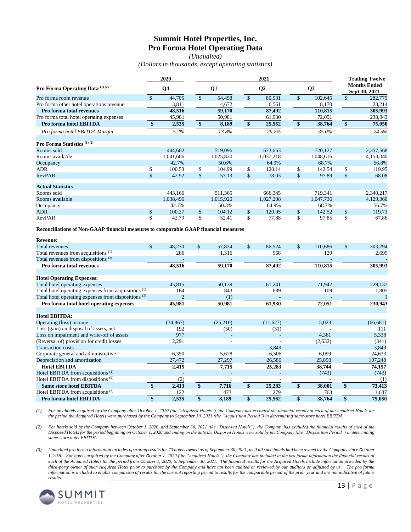# **Summit Hotel Properties, Inc. Pro Forma Hotel Operating Data**

*(Unaudited)*

*(Dollars in thousands, except operating statistics)*

|                                                                                      |                    | 2020           |                    |           | <b>Trailing Twelve</b> |           |                         |                |                                      |              |
|--------------------------------------------------------------------------------------|--------------------|----------------|--------------------|-----------|------------------------|-----------|-------------------------|----------------|--------------------------------------|--------------|
| Pro Forma Operating Data (1) (2)                                                     |                    | Q <sub>4</sub> |                    | Q1        |                        | Q2        |                         | Q <sub>3</sub> | <b>Months Ended</b><br>Sept 30, 2021 |              |
| Pro forma room revenue                                                               | $\mathbf{\hat{S}}$ | 44,705         | $\mathbf{\hat{S}}$ | 54,498    | $\mathbf{\hat{s}}$     | 80,931    | $\overline{\mathbf{S}}$ | 102,645        | $\mathsf{\$}$                        | 282,779      |
| Pro forma other hotel operations revenue                                             |                    | 3,811          |                    | 4,672     |                        | 6,561     |                         | 8,170          |                                      | 23,214       |
| Pro forma total revenues                                                             |                    | 48,516         |                    | 59,170    |                        | 87,492    |                         | 110,815        |                                      | 305,993      |
| Pro forma total hotel operating expenses                                             |                    | 45,981         |                    | 50,981    |                        | 61,930    |                         | 72,051         |                                      | 230,943      |
| Pro forma hotel EBITDA                                                               | \$                 | 2,535          | $\frac{1}{2}$      | 8,189     | $\boldsymbol{\$}$      | 25,562    | \$                      | 38,764         | $\overline{\bullet}$                 | 75,050       |
| Pro forma hotel EBITDA Margin                                                        |                    | 5.2%           |                    | 13.8%     |                        | 29.2%     |                         | 35.0%          |                                      | 24.5%        |
| Pro Forma Statistics <sup>(1)(2)</sup>                                               |                    |                |                    |           |                        |           |                         |                |                                      |              |
| Rooms sold                                                                           |                    | 444,682        |                    | 519,096   |                        | 673,663   |                         | 720,127        |                                      | 2,357,568    |
| Rooms available                                                                      |                    | 1,041,686      |                    | 1,025,820 |                        | 1,037,218 |                         | 1,048,616      |                                      | 4,153,340    |
| Occupancy                                                                            |                    | 42.7%          |                    | 50.6%     |                        | 64.9%     |                         | 68.7%          |                                      | 56.8%        |
| <b>ADR</b>                                                                           | \$                 | 100.53         | \$                 | 104.99    | \$                     | 120.14    | \$                      | 142.54         | \$                                   | 119.95       |
| <b>RevPAR</b>                                                                        | \$                 | 42.92          | $\mathsf{\$}$      | 53.13     | $\mathsf{\$}$          | 78.03     | $\mathbf{\hat{S}}$      | 97.89          | \$                                   | 68.08        |
| <b>Actual Statistics</b>                                                             |                    |                |                    |           |                        |           |                         |                |                                      |              |
| Rooms sold                                                                           |                    | 443,166        |                    | 511,365   |                        | 666,345   |                         | 719,341        |                                      | 2,340,217    |
| Rooms available                                                                      |                    | 1,038,496      |                    | 1,015,920 |                        | 1,027,208 |                         | 1,047,736      |                                      | 4,129,360    |
| Occupancy                                                                            |                    | 42.7%          |                    | 50.3%     |                        | 64.9%     |                         | 68.7%          |                                      | 56.7%        |
| <b>ADR</b>                                                                           | \$                 | 100.27         | \$                 | 104.12    | \$                     | 120.05    | \$                      | 142.52         | \$                                   | 119.73       |
| <b>RevPAR</b>                                                                        | \$                 | 42.79          | \$                 | 52.41     | \$                     | 77.88     | \$                      | 97.85          | \$                                   | 67.86        |
| Reconciliations of Non-GAAP financial measures to comparable GAAP financial measures |                    |                |                    |           |                        |           |                         |                |                                      |              |
| <b>Revenue:</b>                                                                      |                    |                |                    |           |                        |           |                         |                |                                      |              |
| <b>Total revenues</b>                                                                | \$                 | 48,230         | \$                 | 57,854    | \$                     | 86,524    | \$                      | 110,686        | \$                                   | 303,294      |
| Total revenues from acquisitions <sup>(1)</sup>                                      |                    | 286            |                    | 1,316     |                        | 968       |                         | 129            |                                      | 2,699        |
| Total revenues from dispositions <sup>(2)</sup>                                      |                    |                |                    |           |                        |           |                         |                |                                      |              |
| Pro forma total revenues                                                             |                    | 48,516         |                    | 59,170    |                        | 87,492    |                         | 110,815        |                                      | 305,993      |
| <b>Hotel Operating Expenses:</b>                                                     |                    |                |                    |           |                        |           |                         |                |                                      |              |
| Total hotel operating expenses                                                       |                    | 45,815         |                    | 50,139    |                        | 61,241    |                         | 71,942         |                                      | 229,137      |
| Total hotel operating expenses from acquisitions <sup>(1)</sup>                      |                    | 164            |                    | 843       |                        | 689       |                         | 109            |                                      | 1,805        |
| Total hotel operating expenses from dispositions <sup>(2)</sup>                      |                    | $\overline{2}$ |                    | (1)       |                        |           |                         |                |                                      |              |
| Pro forma total hotel operating expenses                                             |                    | 45,981         |                    | 50,981    |                        | 61,930    |                         | 72,051         |                                      | 230,943      |
| <b>Hotel EBITDA:</b>                                                                 |                    |                |                    |           |                        |           |                         |                |                                      |              |
|                                                                                      |                    |                |                    |           |                        |           |                         |                |                                      | $1 - 2 - 20$ |

| поспятния.                                    |           |             |          |         |           |
|-----------------------------------------------|-----------|-------------|----------|---------|-----------|
| Operating (loss) income                       | (34, 867) | (25,210)    | (11,627) | 5,023   | (66, 681) |
| Loss (gain) on disposal of assets, net        | 192       | (50)        | (31)     |         | 111       |
| Loss on impairment and write-off of assets    | 977       |             |          | 4,361   | 5,338     |
| (Reversal of) provision for credit losses     | 2,291     |             |          | (2,632) | (341)     |
| <b>Transaction costs</b>                      |           |             | 3,849    |         | 3,849     |
| Corporate general and administrative          | 6.350     | 5,678       | 6,506    | 6,099   | 24,633    |
| Depreciation and amortization                 | 27,472    | 27,297      | 26,586   | 25,893  | 107,248   |
| <b>Hotel EBITDA</b>                           | 2.415     | 7,715       | 25,283   | 38,744  | 74,157    |
| Hotel EBITDA from acquisitions <sup>(1)</sup> |           |             |          | (743)   | (743)     |
| Hotel EBITDA from dispositions <sup>(2)</sup> | (2        |             |          |         | (1)       |
| <b>Same store hotel EBITDA</b>                | 2.413     | \$<br>7.716 | 25,283   | 38.001  | 73,413    |
| Hotel EBITDA from acquisitions <sup>(3)</sup> | 122       | 473         | 279      | 763     | 1,637     |
| Pro forma hotel EBITDA                        | 2.535     | 8.189       | 25,562   | 38,764  | 75,050    |

*(1) For any hotels acquired by the Company after October 1, 2020 (the "Acquired Hotels"), the Company has excluded the financial results of each of the Acquired Hotels for the period the Acquired Hotels were purchased by the Company to September 30, 2021 (the "Acquisition Period") in determining same-store hotel EBITDA.* 

*(2) For hotels sold by the Company between October 1, 2020, and September 30, 2021 (the "Disposed Hotels"), the Company has excluded the financial results of each of the Disposed Hotels for the period beginning on October 1, 2020 and ending on the date the Disposed Hotels were sold by the Company (the "Disposition Period") in determining same-store hotel EBITDA.*

*(3) Unaudited pro forma information includes operating results for 73 hotels owned as of September 30, 2021, as if all such hotels had been owned by the Company since October 1, 2020. For hotels acquired by the Company after October 1, 2020 (the "Acquired Hotels"), the Company has included in the pro forma information the financial results of each of the Acquired Hotels for the period from October 1, 2020, to September 30, 2021. The financial results for the Acquired Hotels include information provided by the third-party owner of such Acquired Hotel prior to purchase by the Company and have not been audited or reviewed by our auditors or adjusted by us. The pro forma information is included to enable comparison of results for the current reporting period to results for the comparable period of the prior year and are not indicative of future results.*

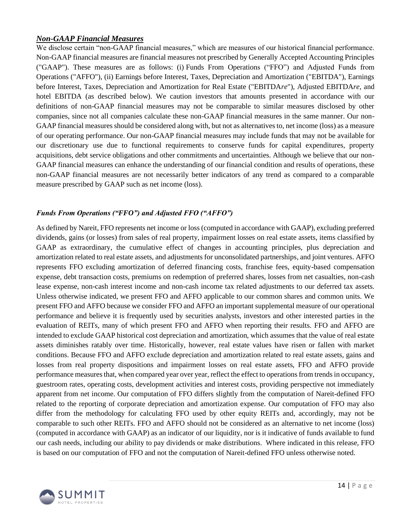# *Non-GAAP Financial Measures*

We disclose certain "non-GAAP financial measures," which are measures of our historical financial performance. Non-GAAP financial measures are financial measures not prescribed by Generally Accepted Accounting Principles ("GAAP"). These measures are as follows: (i) Funds From Operations ("FFO") and Adjusted Funds from Operations ("AFFO"), (ii) Earnings before Interest, Taxes, Depreciation and Amortization ("EBITDA"), Earnings before Interest, Taxes, Depreciation and Amortization for Real Estate ("EBITDA*re*"), Adjusted EBITDA*re*, and hotel EBITDA (as described below). We caution investors that amounts presented in accordance with our definitions of non-GAAP financial measures may not be comparable to similar measures disclosed by other companies, since not all companies calculate these non-GAAP financial measures in the same manner. Our non-GAAP financial measures should be considered along with, but not as alternatives to, net income (loss) as a measure of our operating performance. Our non-GAAP financial measures may include funds that may not be available for our discretionary use due to functional requirements to conserve funds for capital expenditures, property acquisitions, debt service obligations and other commitments and uncertainties. Although we believe that our non-GAAP financial measures can enhance the understanding of our financial condition and results of operations, these non-GAAP financial measures are not necessarily better indicators of any trend as compared to a comparable measure prescribed by GAAP such as net income (loss).

# *Funds From Operations ("FFO") and Adjusted FFO ("AFFO")*

As defined by Nareit, FFO represents net income or loss (computed in accordance with GAAP), excluding preferred dividends, gains (or losses) from sales of real property, impairment losses on real estate assets, items classified by GAAP as extraordinary, the cumulative effect of changes in accounting principles, plus depreciation and amortization related to real estate assets, and adjustments for unconsolidated partnerships, and joint ventures. AFFO represents FFO excluding amortization of deferred financing costs, franchise fees, equity-based compensation expense, debt transaction costs, premiums on redemption of preferred shares, losses from net casualties, non-cash lease expense, non-cash interest income and non-cash income tax related adjustments to our deferred tax assets. Unless otherwise indicated, we present FFO and AFFO applicable to our common shares and common units. We present FFO and AFFO because we consider FFO and AFFO an important supplemental measure of our operational performance and believe it is frequently used by securities analysts, investors and other interested parties in the evaluation of REITs, many of which present FFO and AFFO when reporting their results. FFO and AFFO are intended to exclude GAAP historical cost depreciation and amortization, which assumes that the value of real estate assets diminishes ratably over time. Historically, however, real estate values have risen or fallen with market conditions. Because FFO and AFFO exclude depreciation and amortization related to real estate assets, gains and losses from real property dispositions and impairment losses on real estate assets, FFO and AFFO provide performance measures that, when compared year over year, reflect the effect to operations from trends in occupancy, guestroom rates, operating costs, development activities and interest costs, providing perspective not immediately apparent from net income. Our computation of FFO differs slightly from the computation of Nareit-defined FFO related to the reporting of corporate depreciation and amortization expense. Our computation of FFO may also differ from the methodology for calculating FFO used by other equity REITs and, accordingly, may not be comparable to such other REITs. FFO and AFFO should not be considered as an alternative to net income (loss) (computed in accordance with GAAP) as an indicator of our liquidity, nor is it indicative of funds available to fund our cash needs, including our ability to pay dividends or make distributions. Where indicated in this release, FFO is based on our computation of FFO and not the computation of Nareit-defined FFO unless otherwise noted.

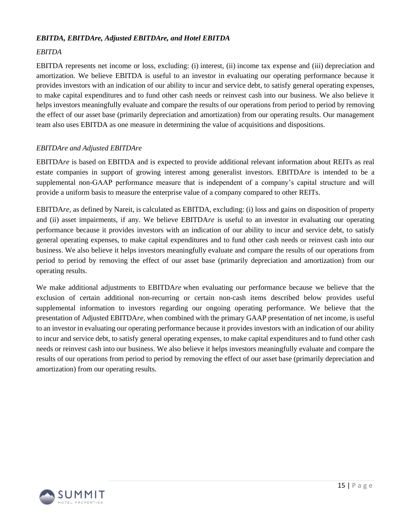### *EBITDA, EBITDAre, Adjusted EBITDAre, and Hotel EBITDA*

# *EBITDA*

EBITDA represents net income or loss, excluding: (i) interest, (ii) income tax expense and (iii) depreciation and amortization. We believe EBITDA is useful to an investor in evaluating our operating performance because it provides investors with an indication of our ability to incur and service debt, to satisfy general operating expenses, to make capital expenditures and to fund other cash needs or reinvest cash into our business. We also believe it helps investors meaningfully evaluate and compare the results of our operations from period to period by removing the effect of our asset base (primarily depreciation and amortization) from our operating results. Our management team also uses EBITDA as one measure in determining the value of acquisitions and dispositions.

## *EBITDAre and Adjusted EBITDAre*

EBITDA*re* is based on EBITDA and is expected to provide additional relevant information about REITs as real estate companies in support of growing interest among generalist investors. EBITDA*re* is intended to be a supplemental non-GAAP performance measure that is independent of a company's capital structure and will provide a uniform basis to measure the enterprise value of a company compared to other REITs.

EBITDA*re*, as defined by Nareit, is calculated as EBITDA, excluding: (i) loss and gains on disposition of property and (ii) asset impairments, if any. We believe EBITDA*re* is useful to an investor in evaluating our operating performance because it provides investors with an indication of our ability to incur and service debt, to satisfy general operating expenses, to make capital expenditures and to fund other cash needs or reinvest cash into our business. We also believe it helps investors meaningfully evaluate and compare the results of our operations from period to period by removing the effect of our asset base (primarily depreciation and amortization) from our operating results.

We make additional adjustments to EBITDA*re* when evaluating our performance because we believe that the exclusion of certain additional non-recurring or certain non-cash items described below provides useful supplemental information to investors regarding our ongoing operating performance. We believe that the presentation of Adjusted EBITDA*re*, when combined with the primary GAAP presentation of net income, is useful to an investor in evaluating our operating performance because it provides investors with an indication of our ability to incur and service debt, to satisfy general operating expenses, to make capital expenditures and to fund other cash needs or reinvest cash into our business. We also believe it helps investors meaningfully evaluate and compare the results of our operations from period to period by removing the effect of our asset base (primarily depreciation and amortization) from our operating results.